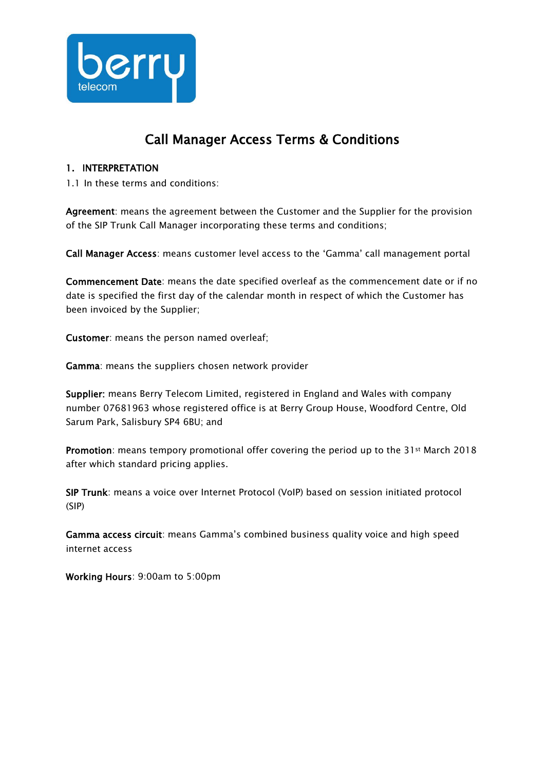

# Call Manager Access Terms & Conditions

#### 1. INTERPRETATION

1.1 In these terms and conditions:

Agreement: means the agreement between the Customer and the Supplier for the provision of the SIP Trunk Call Manager incorporating these terms and conditions;

Call Manager Access: means customer level access to the 'Gamma' call management portal

Commencement Date: means the date specified overleaf as the commencement date or if no date is specified the first day of the calendar month in respect of which the Customer has been invoiced by the Supplier;

Customer: means the person named overleaf;

Gamma: means the suppliers chosen network provider

Supplier: means Berry Telecom Limited, registered in England and Wales with company number 07681963 whose registered office is at Berry Group House, Woodford Centre, Old Sarum Park, Salisbury SP4 6BU; and

Promotion: means tempory promotional offer covering the period up to the 31st March 2018 after which standard pricing applies.

SIP Trunk: means a voice over Internet Protocol (VoIP) based on session initiated protocol (SIP)

Gamma access circuit: means Gamma's combined business quality voice and high speed internet access

Working Hours: 9:00am to 5:00pm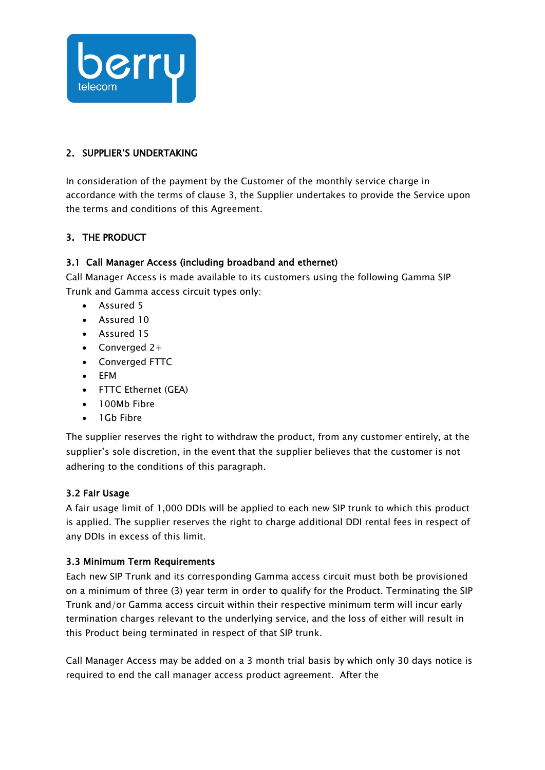

#### 2. SUPPLIER'S UNDERTAKING

In consideration of the payment by the Customer of the monthly service charge in accordance with the terms of clause 3, the Supplier undertakes to provide the Service upon the terms and conditions of this Agreement.

## 3. THE PRODUCT

## 3.1 Call Manager Access (including broadband and ethernet)

Call Manager Access is made available to its customers using the following Gamma SIP Trunk and Gamma access circuit types only:

- Assured 5
- Assured 10
- Assured 15
- Converged  $2+$
- Converged FTTC
- EFM
- FTTC Ethernet (GEA)
- 100Mb Fibre
- 1Gb Fibre

The supplier reserves the right to withdraw the product, from any customer entirely, at the supplier's sole discretion, in the event that the supplier believes that the customer is not adhering to the conditions of this paragraph.

#### 3.2 Fair Usage

A fair usage limit of 1,000 DDIs will be applied to each new SIP trunk to which this product is applied. The supplier reserves the right to charge additional DDI rental fees in respect of any DDIs in excess of this limit.

#### 3.3 Minimum Term Requirements

Each new SIP Trunk and its corresponding Gamma access circuit must both be provisioned on a minimum of three (3) year term in order to qualify for the Product. Terminating the SIP Trunk and/or Gamma access circuit within their respective minimum term will incur early termination charges relevant to the underlying service, and the loss of either will result in this Product being terminated in respect of that SIP trunk.

Call Manager Access may be added on a 3 month trial basis by which only 30 days notice is required to end the call manager access product agreement. After the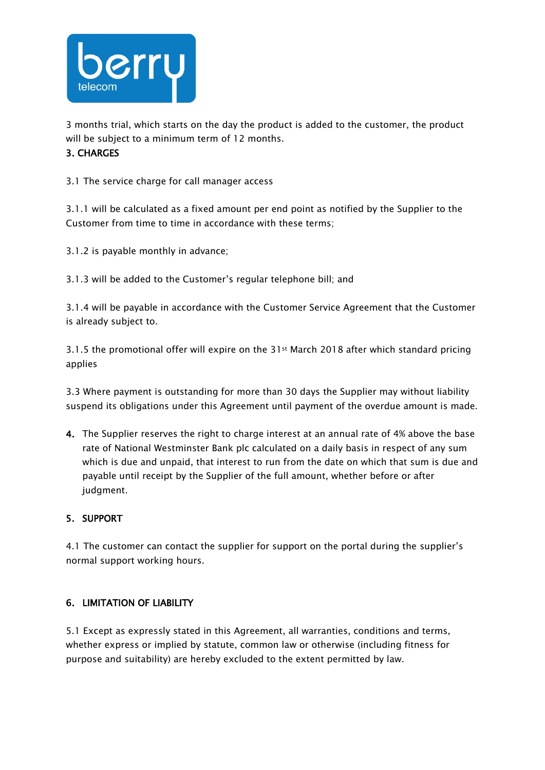

3 months trial, which starts on the day the product is added to the customer, the product will be subject to a minimum term of 12 months.

#### 3. CHARGES

3.1 The service charge for call manager access

3.1.1 will be calculated as a fixed amount per end point as notified by the Supplier to the Customer from time to time in accordance with these terms;

3.1.2 is payable monthly in advance;

3.1.3 will be added to the Customer's regular telephone bill; and

3.1.4 will be payable in accordance with the Customer Service Agreement that the Customer is already subject to.

3.1.5 the promotional offer will expire on the 31st March 2018 after which standard pricing applies

3.3 Where payment is outstanding for more than 30 days the Supplier may without liability suspend its obligations under this Agreement until payment of the overdue amount is made.

4. The Supplier reserves the right to charge interest at an annual rate of 4% above the base rate of National Westminster Bank plc calculated on a daily basis in respect of any sum which is due and unpaid, that interest to run from the date on which that sum is due and payable until receipt by the Supplier of the full amount, whether before or after judgment.

#### 5. SUPPORT

4.1 The customer can contact the supplier for support on the portal during the supplier's normal support working hours.

#### 6. LIMITATION OF LIABILITY

5.1 Except as expressly stated in this Agreement, all warranties, conditions and terms, whether express or implied by statute, common law or otherwise (including fitness for purpose and suitability) are hereby excluded to the extent permitted by law.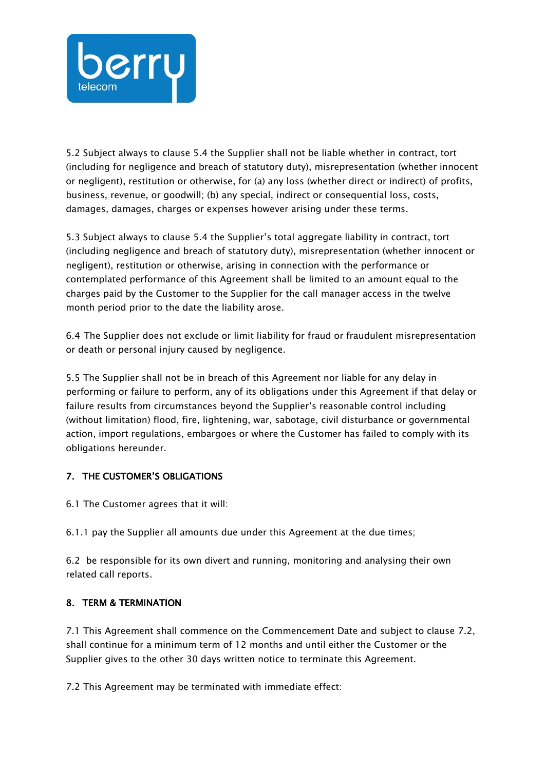

5.2 Subject always to clause 5.4 the Supplier shall not be liable whether in contract, tort (including for negligence and breach of statutory duty), misrepresentation (whether innocent or negligent), restitution or otherwise, for (a) any loss (whether direct or indirect) of profits, business, revenue, or goodwill; (b) any special, indirect or consequential loss, costs, damages, damages, charges or expenses however arising under these terms.

5.3 Subject always to clause 5.4 the Supplier's total aggregate liability in contract, tort (including negligence and breach of statutory duty), misrepresentation (whether innocent or negligent), restitution or otherwise, arising in connection with the performance or contemplated performance of this Agreement shall be limited to an amount equal to the charges paid by the Customer to the Supplier for the call manager access in the twelve month period prior to the date the liability arose.

6.4 The Supplier does not exclude or limit liability for fraud or fraudulent misrepresentation or death or personal injury caused by negligence.

5.5 The Supplier shall not be in breach of this Agreement nor liable for any delay in performing or failure to perform, any of its obligations under this Agreement if that delay or failure results from circumstances beyond the Supplier's reasonable control including (without limitation) flood, fire, lightening, war, sabotage, civil disturbance or governmental action, import regulations, embargoes or where the Customer has failed to comply with its obligations hereunder.

## 7. THE CUSTOMER'S OBLIGATIONS

6.1 The Customer agrees that it will:

6.1.1 pay the Supplier all amounts due under this Agreement at the due times;

6.2 be responsible for its own divert and running, monitoring and analysing their own related call reports.

#### 8. TERM & TERMINATION

7.1 This Agreement shall commence on the Commencement Date and subject to clause 7.2, shall continue for a minimum term of 12 months and until either the Customer or the Supplier gives to the other 30 days written notice to terminate this Agreement.

7.2 This Agreement may be terminated with immediate effect: